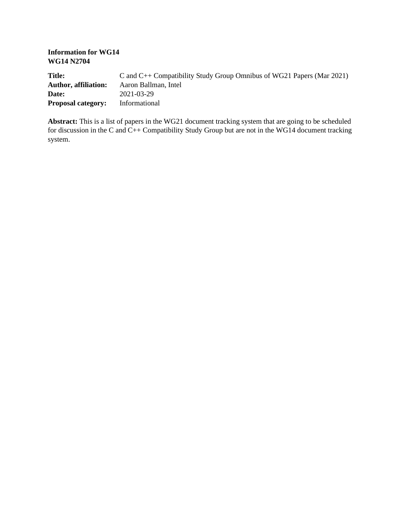**Information for WG14 WG14 N2704**

| <b>Title:</b>               | C and $C_{++}$ Compatibility Study Group Omnibus of WG21 Papers (Mar 2021) |
|-----------------------------|----------------------------------------------------------------------------|
| <b>Author, affiliation:</b> | Aaron Ballman, Intel                                                       |
| Date:                       | 2021-03-29                                                                 |
| <b>Proposal category:</b>   | Informational                                                              |

**Abstract:** This is a list of papers in the WG21 document tracking system that are going to be scheduled for discussion in the C and  $C_{++}$  Compatibility Study Group but are not in the WG14 document tracking system.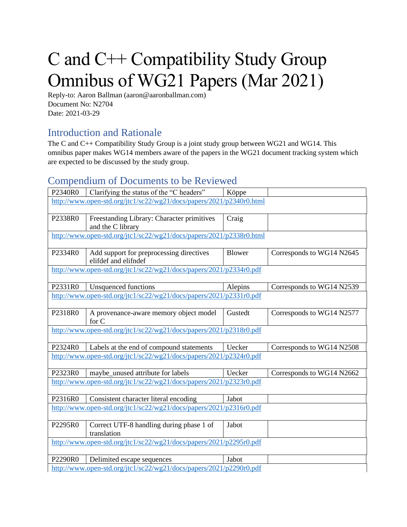## C and C++ Compatibility Study Group Omnibus of WG21 Papers (Mar 2021)

Reply-to: Aaron Ballman (aaron@aaronballman.com) Document No: N2704 Date: 2021-03-29

## Introduction and Rationale

The C and C++ Compatibility Study Group is a joint study group between WG21 and WG14. This omnibus paper makes WG14 members aware of the papers in the WG21 document tracking system which are expected to be discussed by the study group.

## Compendium of Documents to be Reviewed

| P2340R0 | Clarifying the status of the "C headers"                                                                        | Köppe   |                           |
|---------|-----------------------------------------------------------------------------------------------------------------|---------|---------------------------|
|         | http://www.open-std.org/jtc1/sc22/wg21/docs/papers/2021/p2340r0.html                                            |         |                           |
|         |                                                                                                                 |         |                           |
| P2338R0 | Freestanding Library: Character primitives                                                                      | Craig   |                           |
|         | and the C library                                                                                               |         |                           |
|         | http://www.open-std.org/jtc1/sc22/wg21/docs/papers/2021/p2338r0.html                                            |         |                           |
| P2334R0 | Add support for preprocessing directives                                                                        | Blower  | Corresponds to WG14 N2645 |
|         | elifdef and elifndef                                                                                            |         |                           |
|         | http://www.open-std.org/jtc1/sc22/wg21/docs/papers/2021/p2334r0.pdf                                             |         |                           |
|         |                                                                                                                 |         |                           |
| P2331R0 | <b>Unsquenced functions</b>                                                                                     | Alepins | Corresponds to WG14 N2539 |
|         | http://www.open-std.org/jtc1/sc22/wg21/docs/papers/2021/p2331r0.pdf                                             |         |                           |
|         |                                                                                                                 |         |                           |
| P2318R0 | A provenance-aware memory object model                                                                          | Gustedt | Corresponds to WG14 N2577 |
|         | for C                                                                                                           |         |                           |
|         | http://www.open-std.org/jtc1/sc22/wg21/docs/papers/2021/p2318r0.pdf                                             |         |                           |
|         |                                                                                                                 |         |                           |
| P2324R0 | Labels at the end of compound statements<br>http://www.open-std.org/jtc1/sc22/wg21/docs/papers/2021/p2324r0.pdf | Uecker  | Corresponds to WG14 N2508 |
|         |                                                                                                                 |         |                           |
| P2323R0 | maybe unused attribute for labels                                                                               | Uecker  | Corresponds to WG14 N2662 |
|         | http://www.open-std.org/jtc1/sc22/wg21/docs/papers/2021/p2323r0.pdf                                             |         |                           |
|         |                                                                                                                 |         |                           |
| P2316R0 | Consistent character literal encoding                                                                           | Jabot   |                           |
|         | http://www.open-std.org/jtc1/sc22/wg21/docs/papers/2021/p2316r0.pdf                                             |         |                           |
|         |                                                                                                                 |         |                           |
| P2295R0 | Correct UTF-8 handling during phase 1 of                                                                        | Jabot   |                           |
|         | translation                                                                                                     |         |                           |
|         | http://www.open-std.org/jtc1/sc22/wg21/docs/papers/2021/p2295r0.pdf                                             |         |                           |
|         |                                                                                                                 |         |                           |
| P2290R0 | Delimited escape sequences                                                                                      | Jabot   |                           |
|         | http://www.open-std.org/jtc1/sc22/wg21/docs/papers/2021/p2290r0.pdf                                             |         |                           |